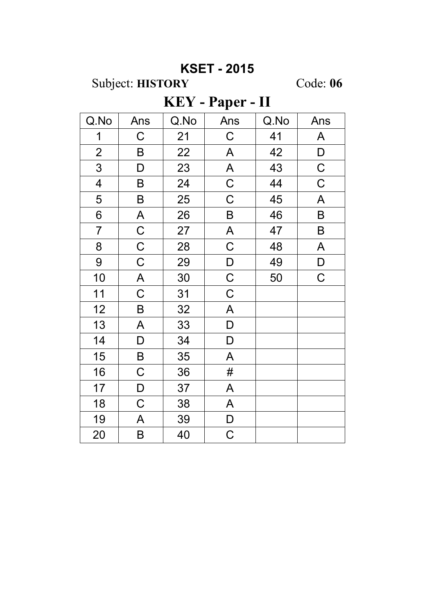## **KSET - 2015**

Subject: HISTORY

Code: 06

## KEY - Paper - II

| Q.No                    | Ans         | Q.No | Ans                       | Q.No | Ans          |
|-------------------------|-------------|------|---------------------------|------|--------------|
| $\mathbf 1$             | $\mathsf C$ | 21   | $\mathsf C$               | 41   | $\mathsf{A}$ |
| $\overline{2}$          | B           | 22   | A                         | 42   | $\mathsf D$  |
| 3                       | D           | 23   | $\boldsymbol{\mathsf{A}}$ | 43   | $\mathsf C$  |
| $\overline{\mathbf{4}}$ | B           | 24   | $\mathsf C$               | 44   | $\mathsf C$  |
| 5                       | $\sf B$     | 25   | $\mathsf C$               | 45   | $\mathsf{A}$ |
| 6                       | A           | 26   | B                         | 46   | B            |
| $\overline{7}$          | $\mathsf C$ | 27   | A                         | 47   | $\sf B$      |
| 8                       | $\mathsf C$ | 28   | $\mathsf C$               | 48   | $\mathsf{A}$ |
| $\overline{9}$          | $\mathsf C$ | 29   | $\mathsf{D}$              | 49   | $\mathsf D$  |
| 10                      | A           | 30   | $\mathsf C$               | 50   | $\mathsf C$  |
| 11                      | $\mathsf C$ | 31   | $\mathsf C$               |      |              |
| 12                      | B           | 32   | A                         |      |              |
| 13                      | A           | 33   | D                         |      |              |
| 14                      | D           | 34   | D                         |      |              |
| 15                      | B           | 35   | A                         |      |              |
| 16                      | $\mathsf C$ | 36   | #                         |      |              |
| 17                      | D           | 37   | A                         |      |              |
| 18                      | $\mathsf C$ | 38   | A                         |      |              |
| 19                      | A           | 39   | $\mathsf D$               |      |              |
| 20                      | B           | 40   | $\mathsf C$               |      |              |